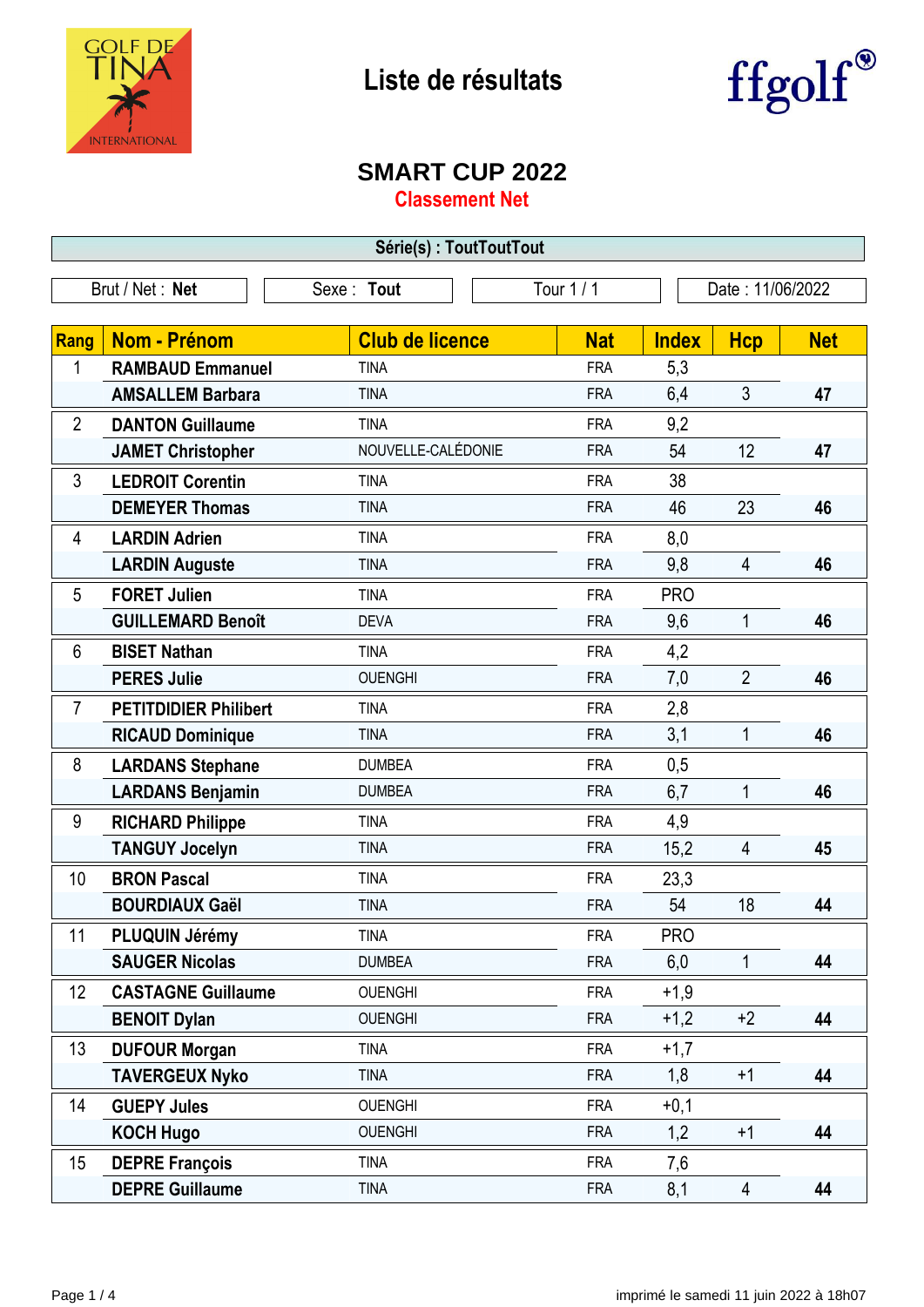

 $\Gamma$ 

## **Liste de résultats**



## **SMART CUP 2022**

**Classement Net**

| Série(s): ToutToutTout |                              |                        |            |              |                  |            |  |
|------------------------|------------------------------|------------------------|------------|--------------|------------------|------------|--|
|                        | Brut / Net: Net              | Sexe: Tout             | Tour 1 / 1 |              | Date: 11/06/2022 |            |  |
|                        |                              |                        |            |              |                  |            |  |
| Rang                   | <b>Nom - Prénom</b>          | <b>Club de licence</b> | <b>Nat</b> | <b>Index</b> | <b>Hcp</b>       | <b>Net</b> |  |
| 1                      | <b>RAMBAUD Emmanuel</b>      | <b>TINA</b>            | <b>FRA</b> | 5,3          |                  |            |  |
|                        | <b>AMSALLEM Barbara</b>      | <b>TINA</b>            | <b>FRA</b> | 6,4          | 3                | 47         |  |
| $\overline{2}$         | <b>DANTON Guillaume</b>      | <b>TINA</b>            | <b>FRA</b> | 9,2          |                  |            |  |
|                        | <b>JAMET Christopher</b>     | NOUVELLE-CALÉDONIE     | <b>FRA</b> | 54           | 12               | 47         |  |
| 3                      | <b>LEDROIT Corentin</b>      | <b>TINA</b>            | <b>FRA</b> | 38           |                  |            |  |
|                        | <b>DEMEYER Thomas</b>        | <b>TINA</b>            | <b>FRA</b> | 46           | 23               | 46         |  |
| 4                      | <b>LARDIN Adrien</b>         | <b>TINA</b>            | <b>FRA</b> | 8,0          |                  |            |  |
|                        | <b>LARDIN Auguste</b>        | <b>TINA</b>            | <b>FRA</b> | 9,8          | 4                | 46         |  |
| 5                      | <b>FORET Julien</b>          | <b>TINA</b>            | <b>FRA</b> | <b>PRO</b>   |                  |            |  |
|                        | <b>GUILLEMARD Benoît</b>     | <b>DEVA</b>            | <b>FRA</b> | 9,6          | 1                | 46         |  |
| 6                      | <b>BISET Nathan</b>          | <b>TINA</b>            | <b>FRA</b> | 4,2          |                  |            |  |
|                        | <b>PERES Julie</b>           | <b>OUENGHI</b>         | <b>FRA</b> | 7,0          | $\overline{2}$   | 46         |  |
| $\overline{7}$         | <b>PETITDIDIER Philibert</b> | <b>TINA</b>            | <b>FRA</b> | 2,8          |                  |            |  |
|                        | <b>RICAUD Dominique</b>      | <b>TINA</b>            | <b>FRA</b> | 3,1          | $\mathbf{1}$     | 46         |  |
| 8                      | <b>LARDANS Stephane</b>      | <b>DUMBEA</b>          | <b>FRA</b> | 0,5          |                  |            |  |
|                        | <b>LARDANS Benjamin</b>      | <b>DUMBEA</b>          | <b>FRA</b> | 6,7          | $\mathbf{1}$     | 46         |  |
| 9                      | <b>RICHARD Philippe</b>      | <b>TINA</b>            | <b>FRA</b> | 4,9          |                  |            |  |
|                        | <b>TANGUY Jocelyn</b>        | <b>TINA</b>            | <b>FRA</b> | 15,2         | 4                | 45         |  |
| 10                     | <b>BRON Pascal</b>           | <b>TINA</b>            | <b>FRA</b> | 23,3         |                  |            |  |
|                        | <b>BOURDIAUX Gaël</b>        | <b>TINA</b>            | <b>FRA</b> | 54           | 18               | 44         |  |
| 11                     | PLUQUIN Jérémy               | tina                   | <b>FRA</b> | <b>PRO</b>   |                  |            |  |
|                        | <b>SAUGER Nicolas</b>        | <b>DUMBEA</b>          | <b>FRA</b> | 6,0          | $\mathbf{1}$     | 44         |  |
| 12                     | <b>CASTAGNE Guillaume</b>    | <b>OUENGHI</b>         | <b>FRA</b> | $+1,9$       |                  |            |  |
|                        | <b>BENOIT Dylan</b>          | <b>OUENGHI</b>         | <b>FRA</b> | $+1,2$       | $+2$             | 44         |  |
| 13                     | <b>DUFOUR Morgan</b>         | <b>TINA</b>            | <b>FRA</b> | $+1,7$       |                  |            |  |
|                        | <b>TAVERGEUX Nyko</b>        | <b>TINA</b>            | <b>FRA</b> | 1,8          | $+1$             | 44         |  |
| 14                     | <b>GUEPY Jules</b>           | <b>OUENGHI</b>         | <b>FRA</b> | $+0,1$       |                  |            |  |
|                        | <b>KOCH Hugo</b>             | <b>OUENGHI</b>         | <b>FRA</b> | 1,2          | $+1$             | 44         |  |
| 15                     | <b>DEPRE François</b>        | <b>TINA</b>            | <b>FRA</b> | 7,6          |                  |            |  |
|                        | <b>DEPRE Guillaume</b>       | <b>TINA</b>            | <b>FRA</b> | 8,1          | 4                | 44         |  |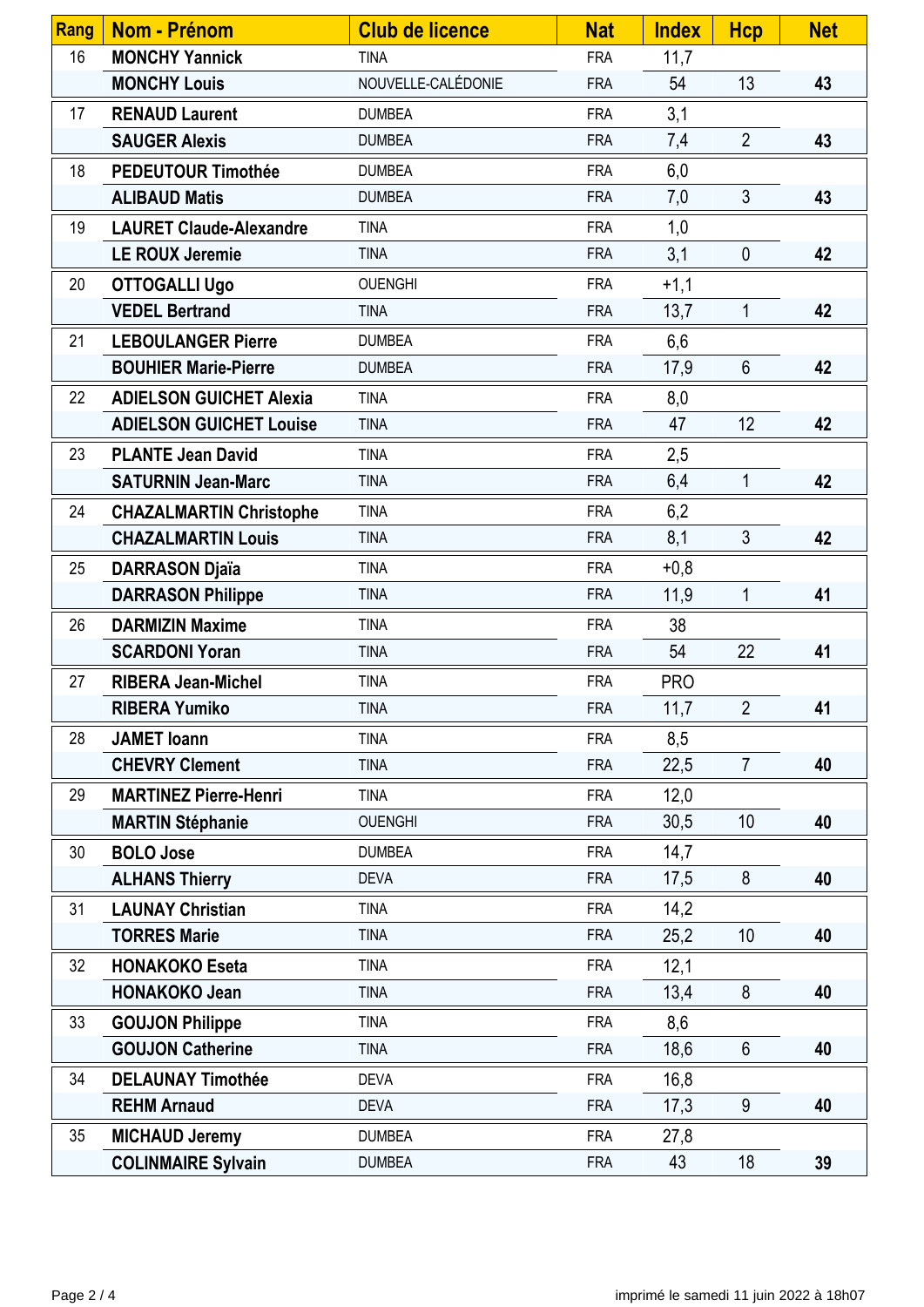| Rang | <b>Nom - Prénom</b>            | <b>Club de licence</b> | <b>Nat</b> | <b>Index</b> | <b>Hcp</b>     | <b>Net</b> |
|------|--------------------------------|------------------------|------------|--------------|----------------|------------|
| 16   | <b>MONCHY Yannick</b>          | <b>TINA</b>            | <b>FRA</b> | 11,7         |                |            |
|      | <b>MONCHY Louis</b>            | NOUVELLE-CALÉDONIE     | <b>FRA</b> | 54           | 13             | 43         |
| 17   | <b>RENAUD Laurent</b>          | <b>DUMBEA</b>          | <b>FRA</b> | 3,1          |                |            |
|      | <b>SAUGER Alexis</b>           | <b>DUMBEA</b>          | <b>FRA</b> | 7,4          | $\overline{2}$ | 43         |
| 18   | <b>PEDEUTOUR Timothée</b>      | <b>DUMBEA</b>          | <b>FRA</b> | 6,0          |                |            |
|      | <b>ALIBAUD Matis</b>           | <b>DUMBEA</b>          | <b>FRA</b> | 7,0          | $\mathfrak{Z}$ | 43         |
| 19   | <b>LAURET Claude-Alexandre</b> | <b>TINA</b>            | <b>FRA</b> | 1,0          |                |            |
|      | <b>LE ROUX Jeremie</b>         | <b>TINA</b>            | <b>FRA</b> | 3,1          | $\mathbf 0$    | 42         |
| 20   | <b>OTTOGALLI Ugo</b>           | <b>OUENGHI</b>         | <b>FRA</b> | $+1,1$       |                |            |
|      | <b>VEDEL Bertrand</b>          | <b>TINA</b>            | <b>FRA</b> | 13,7         | 1              | 42         |
| 21   | <b>LEBOULANGER Pierre</b>      | <b>DUMBEA</b>          | <b>FRA</b> | 6,6          |                |            |
|      | <b>BOUHIER Marie-Pierre</b>    | <b>DUMBEA</b>          | <b>FRA</b> | 17,9         | $6\phantom{1}$ | 42         |
| 22   | <b>ADIELSON GUICHET Alexia</b> | <b>TINA</b>            | <b>FRA</b> | 8,0          |                |            |
|      | <b>ADIELSON GUICHET Louise</b> | <b>TINA</b>            | <b>FRA</b> | 47           | 12             | 42         |
| 23   | <b>PLANTE Jean David</b>       | <b>TINA</b>            | <b>FRA</b> | 2,5          |                |            |
|      | <b>SATURNIN Jean-Marc</b>      | <b>TINA</b>            | <b>FRA</b> | 6,4          | $\mathbf{1}$   | 42         |
| 24   | <b>CHAZALMARTIN Christophe</b> | <b>TINA</b>            | <b>FRA</b> | 6,2          |                |            |
|      | <b>CHAZALMARTIN Louis</b>      | <b>TINA</b>            | <b>FRA</b> | 8,1          | $\mathfrak{Z}$ | 42         |
| 25   | <b>DARRASON Djaïa</b>          | <b>TINA</b>            | <b>FRA</b> | $+0,8$       |                |            |
|      | <b>DARRASON Philippe</b>       | <b>TINA</b>            | <b>FRA</b> | 11,9         | 1              | 41         |
| 26   | <b>DARMIZIN Maxime</b>         | <b>TINA</b>            | <b>FRA</b> | 38           |                |            |
|      | <b>SCARDONI Yoran</b>          | <b>TINA</b>            | <b>FRA</b> | 54           | 22             | 41         |
| 27   | <b>RIBERA Jean-Michel</b>      | <b>TINA</b>            | <b>FRA</b> | <b>PRO</b>   |                |            |
|      | <b>RIBERA Yumiko</b>           | <b>TINA</b>            | <b>FRA</b> | 11,7         | $\overline{2}$ | 41         |
| 28   | <b>JAMET</b> Ioann             | <b>TINA</b>            | <b>FRA</b> | 8,5          |                |            |
|      | <b>CHEVRY Clement</b>          | <b>TINA</b>            | <b>FRA</b> | 22,5         | $\overline{7}$ | 40         |
| 29   | <b>MARTINEZ Pierre-Henri</b>   | <b>TINA</b>            | <b>FRA</b> | 12,0         |                |            |
|      | <b>MARTIN Stéphanie</b>        | <b>OUENGHI</b>         | <b>FRA</b> | 30,5         | 10             | 40         |
| 30   | <b>BOLO Jose</b>               | <b>DUMBEA</b>          | <b>FRA</b> | 14,7         |                |            |
|      | <b>ALHANS Thierry</b>          | <b>DEVA</b>            | <b>FRA</b> | 17,5         | 8              | 40         |
| 31   | <b>LAUNAY Christian</b>        | <b>TINA</b>            | <b>FRA</b> | 14,2         |                |            |
|      | <b>TORRES Marie</b>            | <b>TINA</b>            | <b>FRA</b> | 25,2         | 10             | 40         |
| 32   | <b>HONAKOKO Eseta</b>          | <b>TINA</b>            | <b>FRA</b> | 12,1         |                |            |
|      | <b>HONAKOKO Jean</b>           | <b>TINA</b>            | <b>FRA</b> | 13,4         | 8              | 40         |
| 33   | <b>GOUJON Philippe</b>         | <b>TINA</b>            | <b>FRA</b> | 8,6          |                |            |
|      | <b>GOUJON Catherine</b>        | <b>TINA</b>            | <b>FRA</b> | 18,6         | $6\phantom{1}$ | 40         |
| 34   | <b>DELAUNAY Timothée</b>       | <b>DEVA</b>            | <b>FRA</b> | 16,8         |                |            |
|      | <b>REHM Arnaud</b>             | <b>DEVA</b>            | <b>FRA</b> | 17,3         | 9              | 40         |
| 35   | <b>MICHAUD Jeremy</b>          | <b>DUMBEA</b>          | <b>FRA</b> | 27,8         |                |            |
|      | <b>COLINMAIRE Sylvain</b>      | <b>DUMBEA</b>          | <b>FRA</b> | 43           | 18             | 39         |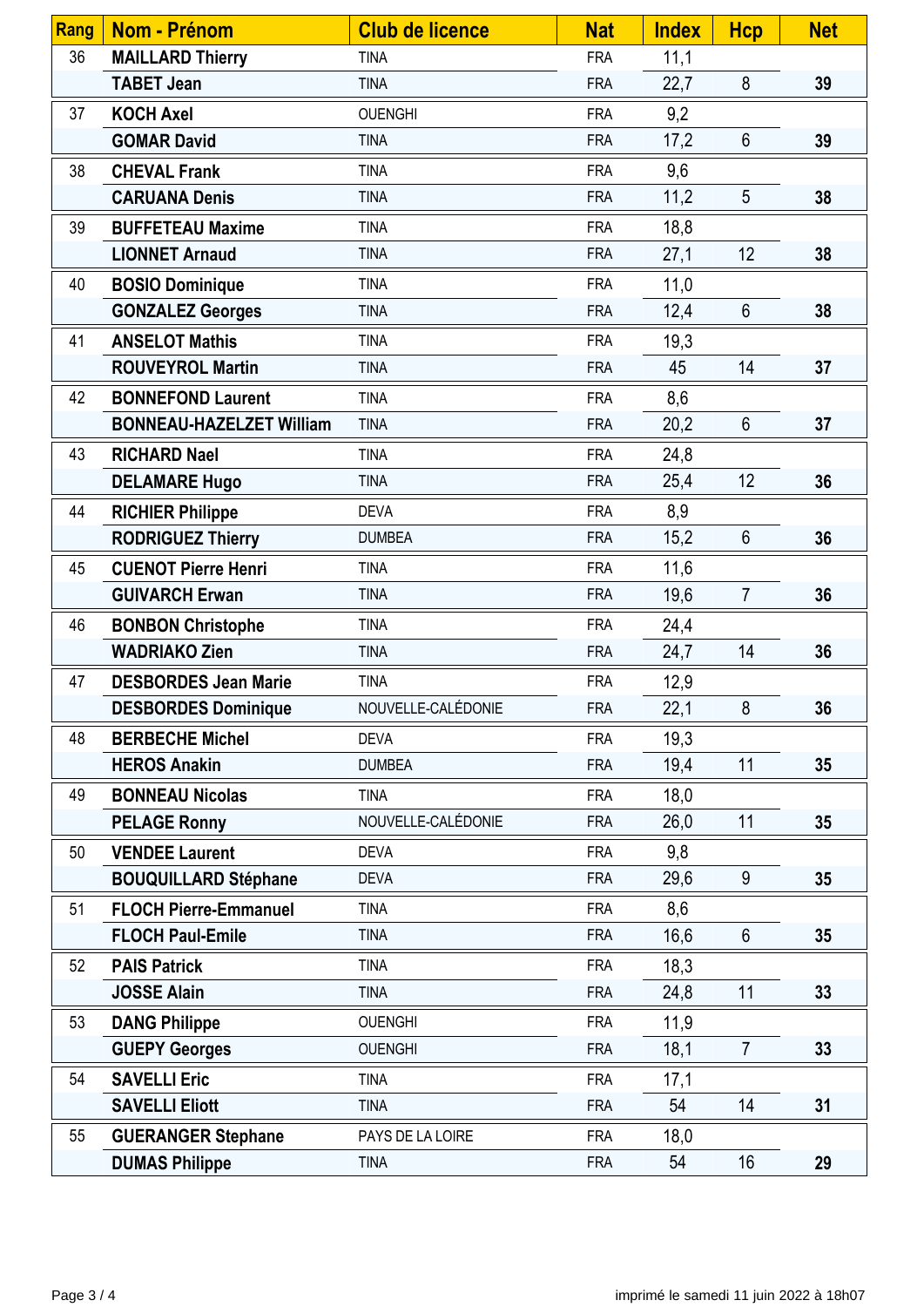| <b>Rang</b> | Nom - Prénom                    | <b>Club de licence</b> | <b>Nat</b> | <b>Index</b> | <b>Hcp</b>     | <b>Net</b> |
|-------------|---------------------------------|------------------------|------------|--------------|----------------|------------|
| 36          | <b>MAILLARD Thierry</b>         | <b>TINA</b>            | <b>FRA</b> | 11,1         |                |            |
|             | <b>TABET Jean</b>               | <b>TINA</b>            | <b>FRA</b> | 22,7         | 8              | 39         |
| 37          | <b>KOCH Axel</b>                | <b>OUENGHI</b>         | <b>FRA</b> | 9,2          |                |            |
|             | <b>GOMAR David</b>              | <b>TINA</b>            | <b>FRA</b> | 17,2         | $6\phantom{1}$ | 39         |
| 38          | <b>CHEVAL Frank</b>             | <b>TINA</b>            | <b>FRA</b> | 9,6          |                |            |
|             | <b>CARUANA Denis</b>            | <b>TINA</b>            | <b>FRA</b> | 11,2         | 5              | 38         |
| 39          | <b>BUFFETEAU Maxime</b>         | <b>TINA</b>            | <b>FRA</b> | 18,8         |                |            |
|             | <b>LIONNET Arnaud</b>           | <b>TINA</b>            | <b>FRA</b> | 27,1         | 12             | 38         |
| 40          | <b>BOSIO Dominique</b>          | <b>TINA</b>            | <b>FRA</b> | 11,0         |                |            |
|             | <b>GONZALEZ Georges</b>         | <b>TINA</b>            | <b>FRA</b> | 12,4         | $6\phantom{1}$ | 38         |
| 41          | <b>ANSELOT Mathis</b>           | <b>TINA</b>            | <b>FRA</b> | 19,3         |                |            |
|             | <b>ROUVEYROL Martin</b>         | <b>TINA</b>            | <b>FRA</b> | 45           | 14             | 37         |
| 42          | <b>BONNEFOND Laurent</b>        | <b>TINA</b>            | <b>FRA</b> | 8,6          |                |            |
|             | <b>BONNEAU-HAZELZET William</b> | <b>TINA</b>            | <b>FRA</b> | 20,2         | $6\phantom{1}$ | 37         |
| 43          | <b>RICHARD Nael</b>             | <b>TINA</b>            | <b>FRA</b> | 24,8         |                |            |
|             | <b>DELAMARE Hugo</b>            | <b>TINA</b>            | <b>FRA</b> | 25,4         | 12             | 36         |
| 44          | <b>RICHIER Philippe</b>         | <b>DEVA</b>            | <b>FRA</b> | 8,9          |                |            |
|             | <b>RODRIGUEZ Thierry</b>        | <b>DUMBEA</b>          | <b>FRA</b> | 15,2         | $6\phantom{1}$ | 36         |
| 45          | <b>CUENOT Pierre Henri</b>      | <b>TINA</b>            | <b>FRA</b> | 11,6         |                |            |
|             | <b>GUIVARCH Erwan</b>           | <b>TINA</b>            | <b>FRA</b> | 19,6         | $\overline{7}$ | 36         |
| 46          | <b>BONBON Christophe</b>        | <b>TINA</b>            | <b>FRA</b> | 24,4         |                |            |
|             | <b>WADRIAKO Zien</b>            | <b>TINA</b>            | <b>FRA</b> | 24,7         | 14             | 36         |
| 47          | <b>DESBORDES Jean Marie</b>     | <b>TINA</b>            | <b>FRA</b> | 12,9         |                |            |
|             | <b>DESBORDES Dominique</b>      | NOUVELLE-CALÉDONIE     | <b>FRA</b> | 22,1         | 8              | 36         |
| 48          | <b>BERBECHE Michel</b>          | <b>DEVA</b>            | <b>FRA</b> | 19,3         |                |            |
|             | <b>HEROS Anakin</b>             | <b>DUMBEA</b>          | <b>FRA</b> | 19,4         | 11             | 35         |
| 49          | <b>BONNEAU Nicolas</b>          | <b>TINA</b>            | <b>FRA</b> | 18,0         |                |            |
|             | <b>PELAGE Ronny</b>             | NOUVELLE-CALÉDONIE     | <b>FRA</b> | 26,0         | 11             | 35         |
| 50          | <b>VENDEE Laurent</b>           | <b>DEVA</b>            | <b>FRA</b> | 9,8          |                |            |
|             | <b>BOUQUILLARD Stéphane</b>     | <b>DEVA</b>            | <b>FRA</b> | 29,6         | 9              | 35         |
| 51          | <b>FLOCH Pierre-Emmanuel</b>    | <b>TINA</b>            | <b>FRA</b> | 8,6          |                |            |
|             | <b>FLOCH Paul-Emile</b>         | <b>TINA</b>            | <b>FRA</b> | 16,6         | $6\phantom{1}$ | 35         |
| 52          | <b>PAIS Patrick</b>             | <b>TINA</b>            | <b>FRA</b> | 18,3         |                |            |
|             | <b>JOSSE Alain</b>              | <b>TINA</b>            | <b>FRA</b> | 24,8         | 11             | 33         |
| 53          | <b>DANG Philippe</b>            | <b>OUENGHI</b>         | <b>FRA</b> | 11,9         |                |            |
|             | <b>GUEPY Georges</b>            | <b>OUENGHI</b>         | <b>FRA</b> | 18,1         | $\overline{7}$ | 33         |
| 54          | <b>SAVELLI Eric</b>             | <b>TINA</b>            | <b>FRA</b> | 17,1         |                |            |
|             | <b>SAVELLI Eliott</b>           | <b>TINA</b>            | <b>FRA</b> | 54           | 14             | 31         |
| 55          | <b>GUERANGER Stephane</b>       | PAYS DE LA LOIRE       | <b>FRA</b> | 18,0         |                |            |
|             | <b>DUMAS Philippe</b>           | <b>TINA</b>            | <b>FRA</b> | 54           | 16             | 29         |